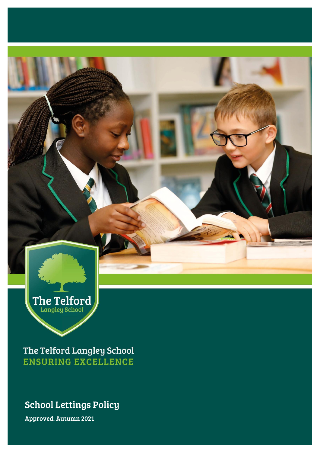

The Telford Langley School **ENSURING EXCELLENCE** 

## School Lettings Policy

Approved: Autumn 2021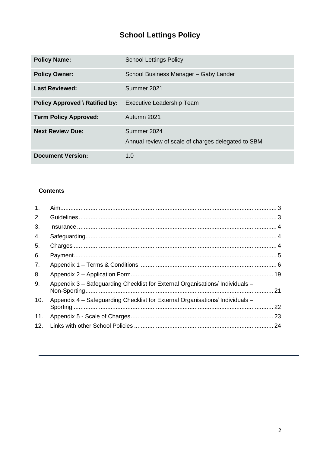# **School Lettings Policy**

| <b>Policy Name:</b>            | <b>School Lettings Policy</b>                                     |  |  |
|--------------------------------|-------------------------------------------------------------------|--|--|
| <b>Policy Owner:</b>           | School Business Manager - Gaby Lander                             |  |  |
| <b>Last Reviewed:</b>          | Summer 2021                                                       |  |  |
| Policy Approved \ Ratified by: | <b>Executive Leadership Team</b>                                  |  |  |
| <b>Term Policy Approved:</b>   | Autumn 2021                                                       |  |  |
| <b>Next Review Due:</b>        | Summer 2024<br>Annual review of scale of charges delegated to SBM |  |  |
| <b>Document Version:</b>       | 1.0                                                               |  |  |

## **Contents**

| 1.  |                                                                               |    |
|-----|-------------------------------------------------------------------------------|----|
| 2.  |                                                                               |    |
| 3.  |                                                                               |    |
| 4.  |                                                                               |    |
| 5.  |                                                                               |    |
| 6.  |                                                                               |    |
| 7.  |                                                                               |    |
| 8.  |                                                                               |    |
| 9.  | Appendix 3 - Safeguarding Checklist for External Organisations/ Individuals - |    |
| 10. | Appendix 4 – Safeguarding Checklist for External Organisations/ Individuals – | 22 |
| 11. |                                                                               |    |
| 12. |                                                                               | 24 |
|     |                                                                               |    |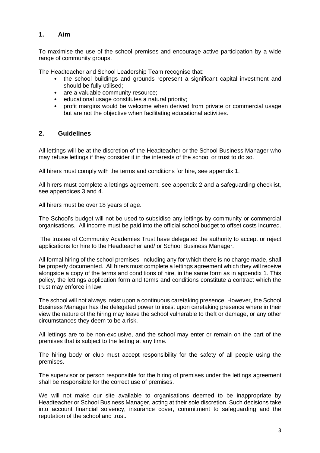## <span id="page-2-0"></span>**1. Aim**

To maximise the use of the school premises and encourage active participation by a wide range of community groups.

The Headteacher and School Leadership Team recognise that:

- the school buildings and grounds represent a significant capital investment and should be fully utilised;
- are a valuable community resource:
- educational usage constitutes a natural priority;
- profit margins would be welcome when derived from private or commercial usage but are not the objective when facilitating educational activities.

#### <span id="page-2-1"></span>**2. Guidelines**

All lettings will be at the discretion of the Headteacher or the School Business Manager who may refuse lettings if they consider it in the interests of the school or trust to do so.

All hirers must comply with the terms and conditions for hire, see appendix 1.

All hirers must complete a lettings agreement, see appendix 2 and a safeguarding checklist, see appendices 3 and 4.

All hirers must be over 18 years of age.

The School's budget will not be used to subsidise any lettings by community or commercial organisations. All income must be paid into the official school budget to offset costs incurred.

The trustee of Community Academies Trust have delegated the authority to accept or reject applications for hire to the Headteacher and/ or School Business Manager.

All formal hiring of the school premises, including any for which there is no charge made, shall be properly documented. All hirers must complete a lettings agreement which they will receive alongside a copy of the terms and conditions of hire, in the same form as in appendix 1. This policy, the lettings application form and terms and conditions constitute a contract which the trust may enforce in law.

The school will not always insist upon a continuous caretaking presence. However, the School Business Manager has the delegated power to insist upon caretaking presence where in their view the nature of the hiring may leave the school vulnerable to theft or damage, or any other circumstances they deem to be a risk.

All lettings are to be non-exclusive, and the school may enter or remain on the part of the premises that is subject to the letting at any time.

The hiring body or club must accept responsibility for the safety of all people using the premises.

The supervisor or person responsible for the hiring of premises under the lettings agreement shall be responsible for the correct use of premises.

We will not make our site available to organisations deemed to be inappropriate by Headteacher or School Business Manager, acting at their sole discretion. Such decisions take into account financial solvency, insurance cover, commitment to safeguarding and the reputation of the school and trust.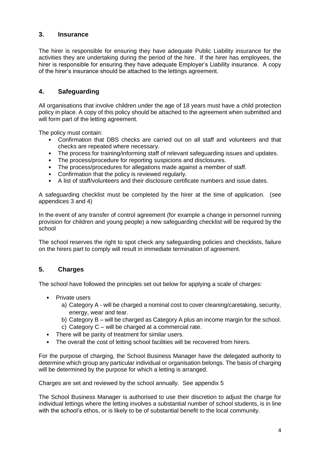## <span id="page-3-0"></span>**3. Insurance**

The hirer is responsible for ensuring they have adequate Public Liability insurance for the activities they are undertaking during the period of the hire. If the hirer has employees, the hirer is responsible for ensuring they have adequate Employer's Liability insurance. A copy of the hirer's insurance should be attached to the lettings agreement.

## <span id="page-3-1"></span>**4. Safeguarding**

All organisations that involve children under the age of 18 years must have a child protection policy in place. A copy of this policy should be attached to the agreement when submitted and will form part of the letting agreement.

The policy must contain:

- Confirmation that DBS checks are carried out on all staff and volunteers and that checks are repeated where necessary.
- The process for training/informing staff of relevant safeguarding issues and updates.
- The process/procedure for reporting suspicions and disclosures.
- The process/procedures for allegations made against a member of staff.
- Confirmation that the policy is reviewed regularly.
- A list of staff/volunteers and their disclosure certificate numbers and issue dates.

A safeguarding checklist must be completed by the hirer at the time of application. (see appendices 3 and 4)

In the event of any transfer of control agreement (for example a change in personnel running provision for children and young people) a new safeguarding checklist will be required by the school

The school reserves the right to spot check any safeguarding policies and checklists, failure on the hirers part to comply will result in immediate termination of agreement.

## <span id="page-3-2"></span>**5. Charges**

The school have followed the principles set out below for applying a scale of charges:

- Private users
	- a) Category A will be charged a nominal cost to cover cleaning/caretaking, security, energy, wear and tear.
	- b) Category B will be charged as Category A plus an income margin for the school.
	- c) Category C will be charged at a commercial rate.
- There will be parity of treatment for similar users.
- The overall the cost of letting school facilities will be recovered from hirers.

For the purpose of charging, the School Business Manager have the delegated authority to determine which group any particular individual or organisation belongs. The basis of charging will be determined by the purpose for which a letting is arranged.

Charges are set and reviewed by the school annually. See appendix 5

The School Business Manager is authorised to use their discretion to adjust the charge for individual lettings where the letting involves a substantial number of school students, is in line with the school's ethos, or is likely to be of substantial benefit to the local community.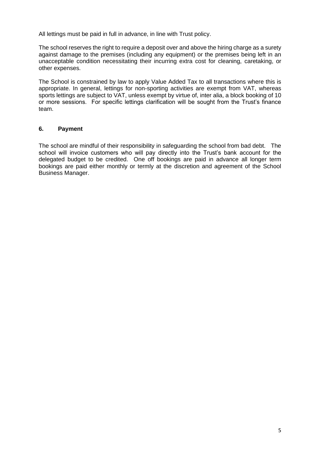All lettings must be paid in full in advance, in line with Trust policy.

The school reserves the right to require a deposit over and above the hiring charge as a surety against damage to the premises (including any equipment) or the premises being left in an unacceptable condition necessitating their incurring extra cost for cleaning, caretaking, or other expenses.

The School is constrained by law to apply Value Added Tax to all transactions where this is appropriate. In general, lettings for non-sporting activities are exempt from VAT, whereas sports lettings are subject to VAT, unless exempt by virtue of, inter alia, a block booking of 10 or more sessions. For specific lettings clarification will be sought from the Trust's finance team.

#### <span id="page-4-0"></span>**6. Payment**

The school are mindful of their responsibility in safeguarding the school from bad debt. The school will invoice customers who will pay directly into the Trust's bank account for the delegated budget to be credited. One off bookings are paid in advance all longer term bookings are paid either monthly or termly at the discretion and agreement of the School Business Manager.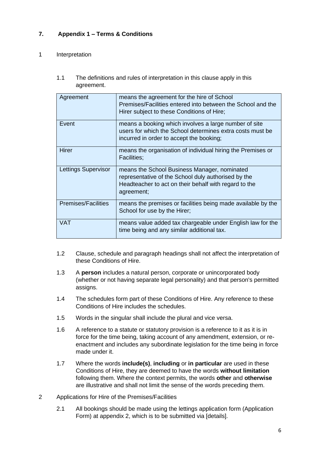## <span id="page-5-0"></span>**7. Appendix 1 – Terms & Conditions**

#### 1 Interpretation

1.1 The definitions and rules of interpretation in this clause apply in this agreement.

| Agreement                  | means the agreement for the hire of School<br>Premises/Facilities entered into between the School and the<br>Hirer subject to these Conditions of Hire;                    |
|----------------------------|----------------------------------------------------------------------------------------------------------------------------------------------------------------------------|
| Event                      | means a booking which involves a large number of site<br>users for which the School determines extra costs must be<br>incurred in order to accept the booking;             |
| Hirer                      | means the organisation of individual hiring the Premises or<br><b>Facilities;</b>                                                                                          |
| Lettings Supervisor        | means the School Business Manager, nominated<br>representative of the School duly authorised by the<br>Headteacher to act on their behalf with regard to the<br>agreement; |
| <b>Premises/Facilities</b> | means the premises or facilities being made available by the<br>School for use by the Hirer;                                                                               |
| VAT                        | means value added tax chargeable under English law for the<br>time being and any similar additional tax.                                                                   |

- 1.2 Clause, schedule and paragraph headings shall not affect the interpretation of these Conditions of Hire.
- 1.3 A **person** includes a natural person, corporate or unincorporated body (whether or not having separate legal personality) and that person's permitted assigns.
- 1.4 The schedules form part of these Conditions of Hire. Any reference to these Conditions of Hire includes the schedules.
- 1.5 Words in the singular shall include the plural and vice versa.
- 1.6 A reference to a statute or statutory provision is a reference to it as it is in force for the time being, taking account of any amendment, extension, or reenactment and includes any subordinate legislation for the time being in force made under it.
- 1.7 Where the words **include(s)**, **including** or **in particular** are used in these Conditions of Hire, they are deemed to have the words **without limitation** following them. Where the context permits, the words **other** and **otherwise** are illustrative and shall not limit the sense of the words preceding them.
- 2 Applications for Hire of the Premises/Facilities
	- 2.1 All bookings should be made using the lettings application form (Application Form) at appendix 2, which is to be submitted via [details].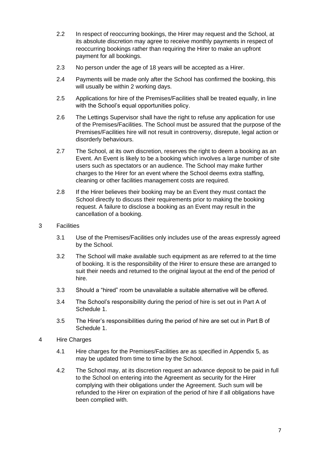- 2.2 In respect of reoccurring bookings, the Hirer may request and the School, at its absolute discretion may agree to receive monthly payments in respect of reoccurring bookings rather than requiring the Hirer to make an upfront payment for all bookings.
- 2.3 No person under the age of 18 years will be accepted as a Hirer.
- 2.4 Payments will be made only after the School has confirmed the booking, this will usually be within 2 working days.
- 2.5 Applications for hire of the Premises/Facilities shall be treated equally, in line with the School's equal opportunities policy.
- 2.6 The Lettings Supervisor shall have the right to refuse any application for use of the Premises/Facilities. The School must be assured that the purpose of the Premises/Facilities hire will not result in controversy, disrepute, legal action or disorderly behaviours.
- 2.7 The School, at its own discretion, reserves the right to deem a booking as an Event. An Event is likely to be a booking which involves a large number of site users such as spectators or an audience. The School may make further charges to the Hirer for an event where the School deems extra staffing, cleaning or other facilities management costs are required.
- 2.8 If the Hirer believes their booking may be an Event they must contact the School directly to discuss their requirements prior to making the booking request. A failure to disclose a booking as an Event may result in the cancellation of a booking.
- 3 Facilities
	- 3.1 Use of the Premises/Facilities only includes use of the areas expressly agreed by the School.
	- 3.2 The School will make available such equipment as are referred to at the time of booking. It is the responsibility of the Hirer to ensure these are arranged to suit their needs and returned to the original layout at the end of the period of hire.
	- 3.3 Should a "hired" room be unavailable a suitable alternative will be offered.
	- 3.4 The School's responsibility during the period of hire is set out in Part A of Schedule 1.
	- 3.5 The Hirer's responsibilities during the period of hire are set out in Part B of Schedule 1.
- 4 Hire Charges
	- 4.1 Hire charges for the Premises/Facilities are as specified in Appendix 5, as may be updated from time to time by the School.
	- 4.2 The School may, at its discretion request an advance deposit to be paid in full to the School on entering into the Agreement as security for the Hirer complying with their obligations under the Agreement. Such sum will be refunded to the Hirer on expiration of the period of hire if all obligations have been complied with.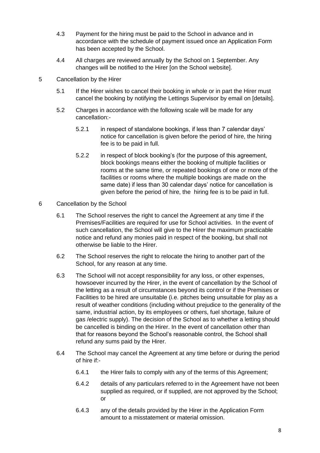- 4.3 Payment for the hiring must be paid to the School in advance and in accordance with the schedule of payment issued once an Application Form has been accepted by the School.
- 4.4 All charges are reviewed annually by the School on 1 September. Any changes will be notified to the Hirer [on the School website].
- 5 Cancellation by the Hirer
	- 5.1 If the Hirer wishes to cancel their booking in whole or in part the Hirer must cancel the booking by notifying the Lettings Supervisor by email on [details].
	- 5.2 Charges in accordance with the following scale will be made for any cancellation:-
		- 5.2.1 in respect of standalone bookings, if less than 7 calendar days' notice for cancellation is given before the period of hire, the hiring fee is to be paid in full.
		- 5.2.2 in respect of block booking's (for the purpose of this agreement, block bookings means either the booking of multiple facilities or rooms at the same time, or repeated bookings of one or more of the facilities or rooms where the multiple bookings are made on the same date) if less than 30 calendar days' notice for cancellation is given before the period of hire, the hiring fee is to be paid in full.
- 6 Cancellation by the School
	- 6.1 The School reserves the right to cancel the Agreement at any time if the Premises/Facilities are required for use for School activities. In the event of such cancellation, the School will give to the Hirer the maximum practicable notice and refund any monies paid in respect of the booking, but shall not otherwise be liable to the Hirer.
	- 6.2 The School reserves the right to relocate the hiring to another part of the School, for any reason at any time.
	- 6.3 The School will not accept responsibility for any loss, or other expenses, howsoever incurred by the Hirer, in the event of cancellation by the School of the letting as a result of circumstances beyond its control or if the Premises or Facilities to be hired are unsuitable (i.e. pitches being unsuitable for play as a result of weather conditions (including without prejudice to the generality of the same, industrial action, by its employees or others, fuel shortage, failure of gas /electric supply). The decision of the School as to whether a letting should be cancelled is binding on the Hirer. In the event of cancellation other than that for reasons beyond the School's reasonable control, the School shall refund any sums paid by the Hirer.
	- 6.4 The School may cancel the Agreement at any time before or during the period of hire if:-
		- 6.4.1 the Hirer fails to comply with any of the terms of this Agreement;
		- 6.4.2 details of any particulars referred to in the Agreement have not been supplied as required, or if supplied, are not approved by the School; or
		- 6.4.3 any of the details provided by the Hirer in the Application Form amount to a misstatement or material omission.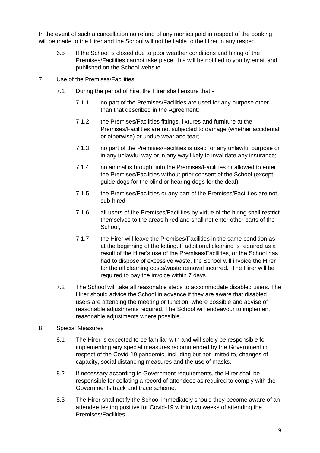In the event of such a cancellation no refund of any monies paid in respect of the booking will be made to the Hirer and the School will not be liable to the Hirer in any respect.

- 6.5 If the School is closed due to poor weather conditions and hiring of the Premises/Facilities cannot take place, this will be notified to you by email and published on the School website.
- 7 Use of the Premises/Facilities
	- 7.1 During the period of hire, the Hirer shall ensure that:-
		- 7.1.1 no part of the Premises/Facilities are used for any purpose other than that described in the Agreement;
		- 7.1.2 the Premises/Facilities fittings, fixtures and furniture at the Premises/Facilities are not subjected to damage (whether accidental or otherwise) or undue wear and tear;
		- 7.1.3 no part of the Premises/Facilities is used for any unlawful purpose or in any unlawful way or in any way likely to invalidate any insurance;
		- 7.1.4 no animal is brought into the Premises/Facilities or allowed to enter the Premises/Facilities without prior consent of the School (except quide dogs for the blind or hearing dogs for the deaf);
		- 7.1.5 the Premises/Facilities or any part of the Premises/Facilities are not sub-hired;
		- 7.1.6 all users of the Premises/Facilities by virtue of the hiring shall restrict themselves to the areas hired and shall not enter other parts of the School;
		- 7.1.7 the Hirer will leave the Premises/Facilities in the same condition as at the beginning of the letting. If additional cleaning is required as a result of the Hirer's use of the Premises/Facilities, or the School has had to dispose of excessive waste, the School will invoice the Hirer for the all cleaning costs/waste removal incurred. The Hirer will be required to pay the invoice within 7 days.
	- 7.2 The School will take all reasonable steps to accommodate disabled users. The Hirer should advice the School in advance if they are aware that disabled users are attending the meeting or function, where possible and advise of reasonable adjustments required. The School will endeavour to implement reasonable adjustments where possible.
- 8 Special Measures
	- 8.1 The Hirer is expected to be familiar with and will solely be responsible for implementing any special measures recommended by the Government in respect of the Covid-19 pandemic, including but not limited to, changes of capacity, social distancing measures and the use of masks.
	- 8.2 If necessary according to Government requirements, the Hirer shall be responsible for collating a record of attendees as required to comply with the Governments track and trace scheme.
	- 8.3 The Hirer shall notify the School immediately should they become aware of an attendee testing positive for Covid-19 within two weeks of attending the Premises/Facilities.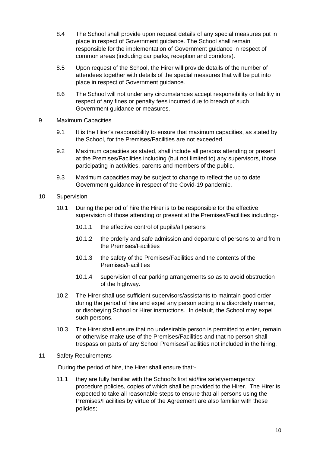- 8.4 The School shall provide upon request details of any special measures put in place in respect of Government guidance. The School shall remain responsible for the implementation of Government guidance in respect of common areas (including car parks, reception and corridors).
- 8.5 Upon request of the School, the Hirer will provide details of the number of attendees together with details of the special measures that will be put into place in respect of Government guidance.
- 8.6 The School will not under any circumstances accept responsibility or liability in respect of any fines or penalty fees incurred due to breach of such Government guidance or measures.
- 9 Maximum Capacities
	- 9.1 It is the Hirer's responsibility to ensure that maximum capacities, as stated by the School, for the Premises/Facilities are not exceeded.
	- 9.2 Maximum capacities as stated, shall include all persons attending or present at the Premises/Facilities including (but not limited to) any supervisors, those participating in activities, parents and members of the public.
	- 9.3 Maximum capacities may be subject to change to reflect the up to date Government guidance in respect of the Covid-19 pandemic.
- 10 Supervision
	- 10.1 During the period of hire the Hirer is to be responsible for the effective supervision of those attending or present at the Premises/Facilities including:-
		- 10.1.1 the effective control of pupils/all persons
		- 10.1.2 the orderly and safe admission and departure of persons to and from the Premises/Facilities
		- 10.1.3 the safety of the Premises/Facilities and the contents of the Premises/Facilities
		- 10.1.4 supervision of car parking arrangements so as to avoid obstruction of the highway.
	- 10.2 The Hirer shall use sufficient supervisors/assistants to maintain good order during the period of hire and expel any person acting in a disorderly manner, or disobeying School or Hirer instructions. In default, the School may expel such persons.
	- 10.3 The Hirer shall ensure that no undesirable person is permitted to enter, remain or otherwise make use of the Premises/Facilities and that no person shall trespass on parts of any School Premises/Facilities not included in the hiring.

#### 11 Safety Requirements

During the period of hire, the Hirer shall ensure that:-

11.1 they are fully familiar with the School's first aid/fire safety/emergency procedure policies, copies of which shall be provided to the Hirer. The Hirer is expected to take all reasonable steps to ensure that all persons using the Premises/Facilities by virtue of the Agreement are also familiar with these policies;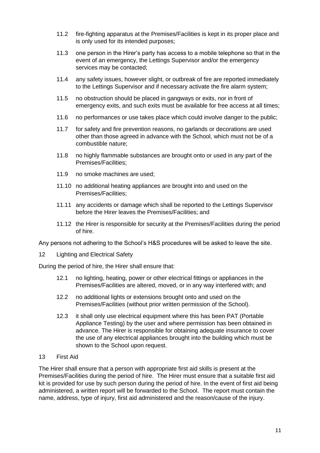- 11.2 fire-fighting apparatus at the Premises/Facilities is kept in its proper place and is only used for its intended purposes;
- 11.3 one person in the Hirer's party has access to a mobile telephone so that in the event of an emergency, the Lettings Supervisor and/or the emergency services may be contacted;
- 11.4 any safety issues, however slight, or outbreak of fire are reported immediately to the Lettings Supervisor and if necessary activate the fire alarm system;
- 11.5 no obstruction should be placed in gangways or exits, nor in front of emergency exits, and such exits must be available for free access at all times;
- 11.6 no performances or use takes place which could involve danger to the public;
- 11.7 for safety and fire prevention reasons, no garlands or decorations are used other than those agreed in advance with the School, which must not be of a combustible nature;
- 11.8 no highly flammable substances are brought onto or used in any part of the Premises/Facilities;
- 11.9 no smoke machines are used;
- 11.10 no additional heating appliances are brought into and used on the Premises/Facilities;
- 11.11 any accidents or damage which shall be reported to the Lettings Supervisor before the Hirer leaves the Premises/Facilities; and
- 11.12 the Hirer is responsible for security at the Premises/Facilities during the period of hire.

Any persons not adhering to the School's H&S procedures will be asked to leave the site.

12 Lighting and Electrical Safety

During the period of hire, the Hirer shall ensure that:

- 12.1 no lighting, heating, power or other electrical fittings or appliances in the Premises/Facilities are altered, moved, or in any way interfered with; and
- 12.2 no additional lights or extensions brought onto and used on the Premises/Facilities (without prior written permission of the School).
- 12.3 it shall only use electrical equipment where this has been PAT (Portable Appliance Testing) by the user and where permission has been obtained in advance. The Hirer is responsible for obtaining adequate insurance to cover the use of any electrical appliances brought into the building which must be shown to the School upon request.

#### 13 First Aid

The Hirer shall ensure that a person with appropriate first aid skills is present at the Premises/Facilities during the period of hire. The Hirer must ensure that a suitable first aid kit is provided for use by such person during the period of hire. In the event of first aid being administered, a written report will be forwarded to the School. The report must contain the name, address, type of injury, first aid administered and the reason/cause of the injury.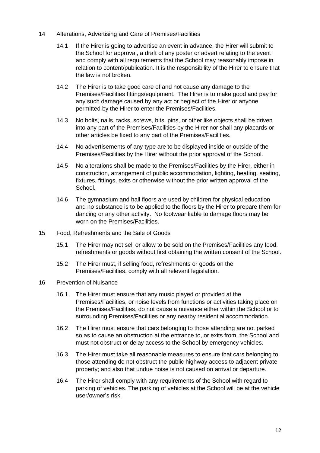- 14 Alterations, Advertising and Care of Premises/Facilities
	- 14.1 If the Hirer is going to advertise an event in advance, the Hirer will submit to the School for approval, a draft of any poster or advert relating to the event and comply with all requirements that the School may reasonably impose in relation to content/publication. It is the responsibility of the Hirer to ensure that the law is not broken.
	- 14.2 The Hirer is to take good care of and not cause any damage to the Premises/Facilities fittings/equipment. The Hirer is to make good and pay for any such damage caused by any act or neglect of the Hirer or anyone permitted by the Hirer to enter the Premises/Facilities.
	- 14.3 No bolts, nails, tacks, screws, bits, pins, or other like objects shall be driven into any part of the Premises/Facilities by the Hirer nor shall any placards or other articles be fixed to any part of the Premises/Facilities.
	- 14.4 No advertisements of any type are to be displayed inside or outside of the Premises/Facilities by the Hirer without the prior approval of the School.
	- 14.5 No alterations shall be made to the Premises/Facilities by the Hirer, either in construction, arrangement of public accommodation, lighting, heating, seating, fixtures, fittings, exits or otherwise without the prior written approval of the School.
	- 14.6 The gymnasium and hall floors are used by children for physical education and no substance is to be applied to the floors by the Hirer to prepare them for dancing or any other activity. No footwear liable to damage floors may be worn on the Premises/Facilities.
- 15 Food, Refreshments and the Sale of Goods
	- 15.1 The Hirer may not sell or allow to be sold on the Premises/Facilities any food, refreshments or goods without first obtaining the written consent of the School.
	- 15.2 The Hirer must, if selling food, refreshments or goods on the Premises/Facilities, comply with all relevant legislation.
- 16 Prevention of Nuisance
	- 16.1 The Hirer must ensure that any music played or provided at the Premises/Facilities, or noise levels from functions or activities taking place on the Premises/Facilities, do not cause a nuisance either within the School or to surrounding Premises/Facilities or any nearby residential accommodation.
	- 16.2 The Hirer must ensure that cars belonging to those attending are not parked so as to cause an obstruction at the entrance to, or exits from, the School and must not obstruct or delay access to the School by emergency vehicles.
	- 16.3 The Hirer must take all reasonable measures to ensure that cars belonging to those attending do not obstruct the public highway access to adjacent private property; and also that undue noise is not caused on arrival or departure.
	- 16.4 The Hirer shall comply with any requirements of the School with regard to parking of vehicles. The parking of vehicles at the School will be at the vehicle user/owner's risk.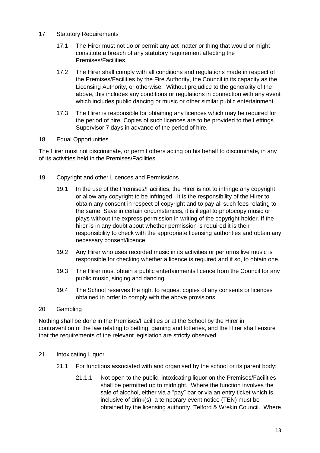#### 17 Statutory Requirements

- 17.1 The Hirer must not do or permit any act matter or thing that would or might constitute a breach of any statutory requirement affecting the Premises/Facilities.
- 17.2 The Hirer shall comply with all conditions and regulations made in respect of the Premises/Facilities by the Fire Authority, the Council in its capacity as the Licensing Authority, or otherwise. Without prejudice to the generality of the above, this includes any conditions or regulations in connection with any event which includes public dancing or music or other similar public entertainment.
- 17.3 The Hirer is responsible for obtaining any licences which may be required for the period of hire. Copies of such licences are to be provided to the Lettings Supervisor 7 days in advance of the period of hire.

#### 18 Equal Opportunities

The Hirer must not discriminate, or permit others acting on his behalf to discriminate, in any of its activities held in the Premises/Facilities.

- 19 Copyright and other Licences and Permissions
	- 19.1 In the use of the Premises/Facilities, the Hirer is not to infringe any copyright or allow any copyright to be infringed. It is the responsibility of the Hirer to obtain any consent in respect of copyright and to pay all such fees relating to the same. Save in certain circumstances, it is illegal to photocopy music or plays without the express permission in writing of the copyright holder. If the hirer is in any doubt about whether permission is required it is their responsibility to check with the appropriate licensing authorities and obtain any necessary consent/licence.
	- 19.2 Any Hirer who uses recorded music in its activities or performs live music is responsible for checking whether a licence is required and if so, to obtain one.
	- 19.3 The Hirer must obtain a public entertainments licence from the Council for any public music, singing and dancing.
	- 19.4 The School reserves the right to request copies of any consents or licences obtained in order to comply with the above provisions.

#### 20 Gambling

Nothing shall be done in the Premises/Facilities or at the School by the Hirer in contravention of the law relating to betting, gaming and lotteries, and the Hirer shall ensure that the requirements of the relevant legislation are strictly observed.

- 21 Intoxicating Liquor
	- 21.1 For functions associated with and organised by the school or its parent body:
		- 21.1.1 Not open to the public, intoxicating liquor on the Premises/Facilities shall be permitted up to midnight. Where the function involves the sale of alcohol, either via a "pay" bar or via an entry ticket which is inclusive of drink(s), a temporary event notice (TEN) must be obtained by the licensing authority, Telford & Wrekin Council. Where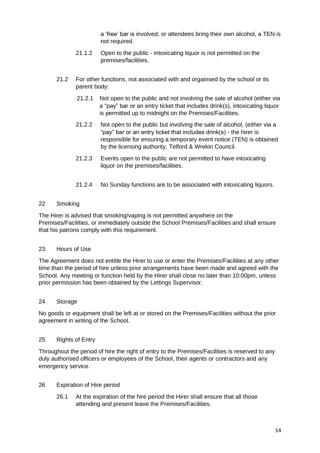a 'free' bar is involved, or attendees bring their own alcohol, a TEN is not required.

- 21.1.2 Open to the public intoxicating liquor is not permitted on the premises/facilities.
- 21.2 For other functions, not associated with and orgainsed by the school or its parent body:
	- 21.2.1 Not open to the public and not involving the sale of alcohol (either via a "pay" bar or an entry ticket that includes drink(s), intoxicating liquor is permitted up to midnight on the Premises/Facilities.
	- 21.2.2 Not open to the public but involving the sale of alcohol, (either via a "pay" bar or an entry ticket that includes drink(s) - the hirer is responsible for ensuring a temporary event notice (TEN) is obtained by the licensing authority, Telford & Wrekin Council.
	- 21.2.3 Events open to the public are not permitted to have intoxicating liquor on the premises/facilities.
	- 21.2.4 No Sunday functions are to be associated with intoxicating liquors.

#### 22 Smoking

The Hirer is advised that smoking/vaping is not permitted anywhere on the Premises/Facilities, or immediately outside the School Premises/Facilities and shall ensure that his patrons comply with this requirement.

#### 23 Hours of Use

The Agreement does not entitle the Hirer to use or enter the Premises/Facilities at any other time than the period of hire unless prior arrangements have been made and agreed with the School. Any meeting or function held by the Hirer shall close no later than 10:00pm, unless prior permission has been obtained by the Lettings Supervisor.

#### 24 Storage

No goods or equipment shall be left at or stored on the Premises/Facilities without the prior agreement in writing of the School.

#### 25 Rights of Entry

Throughout the period of hire the right of entry to the Premises/Facilities is reserved to any duly authorised officers or employees of the School, their agents or contractors and any emergency service.

- 26 Expiration of Hire period
	- 26.1 At the expiration of the hire period the Hirer shall ensure that all those attending and present leave the Premises/Facilities.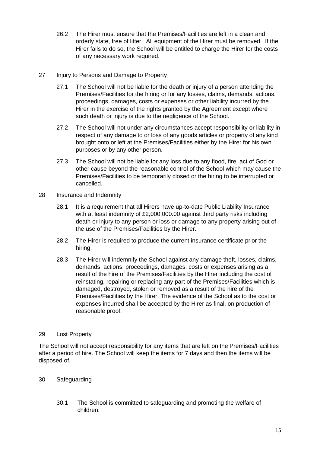- 26.2 The Hirer must ensure that the Premises/Facilities are left in a clean and orderly state, free of litter. All equipment of the Hirer must be removed. If the Hirer fails to do so, the School will be entitled to charge the Hirer for the costs of any necessary work required.
- 27 Injury to Persons and Damage to Property
	- 27.1 The School will not be liable for the death or injury of a person attending the Premises/Facilities for the hiring or for any losses, claims, demands, actions, proceedings, damages, costs or expenses or other liability incurred by the Hirer in the exercise of the rights granted by the Agreement except where such death or injury is due to the negligence of the School.
	- 27.2 The School will not under any circumstances accept responsibility or liability in respect of any damage to or loss of any goods articles or property of any kind brought onto or left at the Premises/Facilities either by the Hirer for his own purposes or by any other person.
	- 27.3 The School will not be liable for any loss due to any flood, fire, act of God or other cause beyond the reasonable control of the School which may cause the Premises/Facilities to be temporarily closed or the hiring to be interrupted or cancelled.
- 28 Insurance and Indemnity
	- 28.1 It is a requirement that all Hirers have up-to-date Public Liability Insurance with at least indemnity of £2,000,000.00 against third party risks including death or injury to any person or loss or damage to any property arising out of the use of the Premises/Facilities by the Hirer.
	- 28.2 The Hirer is required to produce the current insurance certificate prior the hiring.
	- 28.3 The Hirer will indemnify the School against any damage theft, losses, claims, demands, actions, proceedings, damages, costs or expenses arising as a result of the hire of the Premises/Facilities by the Hirer including the cost of reinstating, repairing or replacing any part of the Premises/Facilities which is damaged, destroyed, stolen or removed as a result of the hire of the Premises/Facilities by the Hirer. The evidence of the School as to the cost or expenses incurred shall be accepted by the Hirer as final, on production of reasonable proof.

#### 29 Lost Property

The School will not accept responsibility for any items that are left on the Premises/Facilities after a period of hire. The School will keep the items for 7 days and then the items will be disposed of.

## 30 Safeguarding

30.1 The School is committed to safeguarding and promoting the welfare of children.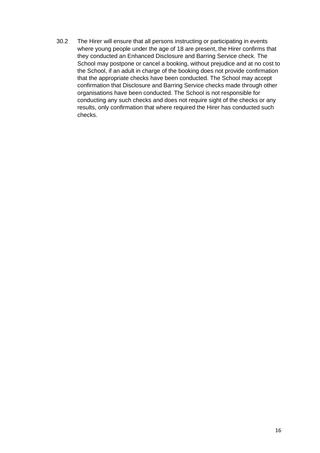30.2 The Hirer will ensure that all persons instructing or participating in events where young people under the age of 18 are present, the Hirer confirms that they conducted an Enhanced Disclosure and Barring Service check. The School may postpone or cancel a booking, without prejudice and at no cost to the School, if an adult in charge of the booking does not provide confirmation that the appropriate checks have been conducted. The School may accept confirmation that Disclosure and Barring Service checks made through other organisations have been conducted. The School is not responsible for conducting any such checks and does not require sight of the checks or any results, only confirmation that where required the Hirer has conducted such checks.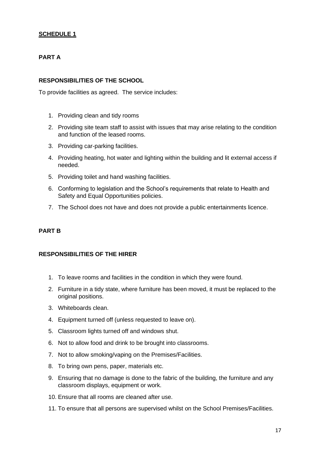## **SCHEDULE 1**

## **PART A**

#### **RESPONSIBILITIES OF THE SCHOOL**

To provide facilities as agreed. The service includes:

- 1. Providing clean and tidy rooms
- 2. Providing site team staff to assist with issues that may arise relating to the condition and function of the leased rooms.
- 3. Providing car-parking facilities.
- 4. Providing heating, hot water and lighting within the building and lit external access if needed.
- 5. Providing toilet and hand washing facilities.
- 6. Conforming to legislation and the School's requirements that relate to Health and Safety and Equal Opportunities policies.
- 7. The School does not have and does not provide a public entertainments licence.

#### **PART B**

#### **RESPONSIBILITIES OF THE HIRER**

- 1. To leave rooms and facilities in the condition in which they were found.
- 2. Furniture in a tidy state, where furniture has been moved, it must be replaced to the original positions.
- 3. Whiteboards clean.
- 4. Equipment turned off (unless requested to leave on).
- 5. Classroom lights turned off and windows shut.
- 6. Not to allow food and drink to be brought into classrooms.
- 7. Not to allow smoking/vaping on the Premises/Facilities.
- 8. To bring own pens, paper, materials etc.
- 9. Ensuring that no damage is done to the fabric of the building, the furniture and any classroom displays, equipment or work.
- 10. Ensure that all rooms are cleaned after use.
- 11. To ensure that all persons are supervised whilst on the School Premises/Facilities.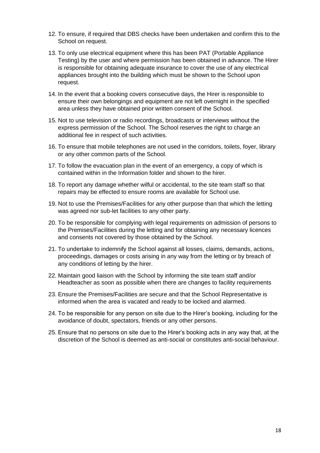- 12. To ensure, if required that DBS checks have been undertaken and confirm this to the School on request.
- 13. To only use electrical equipment where this has been PAT (Portable Appliance Testing) by the user and where permission has been obtained in advance. The Hirer is responsible for obtaining adequate insurance to cover the use of any electrical appliances brought into the building which must be shown to the School upon request.
- 14. In the event that a booking covers consecutive days, the Hirer is responsible to ensure their own belongings and equipment are not left overnight in the specified area unless they have obtained prior written consent of the School.
- 15. Not to use television or radio recordings, broadcasts or interviews without the express permission of the School. The School reserves the right to charge an additional fee in respect of such activities.
- 16. To ensure that mobile telephones are not used in the corridors, toilets, foyer, library or any other common parts of the School.
- 17. To follow the evacuation plan in the event of an emergency, a copy of which is contained within in the Information folder and shown to the hirer.
- 18. To report any damage whether wilful or accidental, to the site team staff so that repairs may be effected to ensure rooms are available for School use.
- 19. Not to use the Premises/Facilities for any other purpose than that which the letting was agreed nor sub-let facilities to any other party.
- 20. To be responsible for complying with legal requirements on admission of persons to the Premises/Facilities during the letting and for obtaining any necessary licences and consents not covered by those obtained by the School.
- 21. To undertake to indemnify the School against all losses, claims, demands, actions, proceedings, damages or costs arising in any way from the letting or by breach of any conditions of letting by the hirer.
- 22. Maintain good liaison with the School by informing the site team staff and/or Headteacher as soon as possible when there are changes to facility requirements
- 23. Ensure the Premises/Facilities are secure and that the School Representative is informed when the area is vacated and ready to be locked and alarmed.
- 24. To be responsible for any person on site due to the Hirer's booking, including for the avoidance of doubt, spectators, friends or any other persons.
- 25. Ensure that no persons on site due to the Hirer's booking acts in any way that, at the discretion of the School is deemed as anti-social or constitutes anti-social behaviour.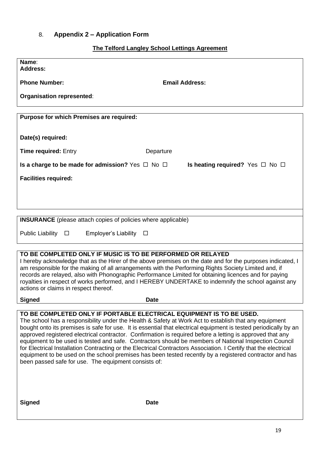## <span id="page-18-0"></span>8. **Appendix 2 – Application Form**

## **The Telford Langley School Lettings Agreement**

| Name:<br><b>Address:</b>                                                                                                                                                                                                                                                                                                                                                                                                                                                                                                                                                                                                                                                                                                                                                                                       |
|----------------------------------------------------------------------------------------------------------------------------------------------------------------------------------------------------------------------------------------------------------------------------------------------------------------------------------------------------------------------------------------------------------------------------------------------------------------------------------------------------------------------------------------------------------------------------------------------------------------------------------------------------------------------------------------------------------------------------------------------------------------------------------------------------------------|
| <b>Phone Number:</b><br><b>Email Address:</b>                                                                                                                                                                                                                                                                                                                                                                                                                                                                                                                                                                                                                                                                                                                                                                  |
| Organisation represented:                                                                                                                                                                                                                                                                                                                                                                                                                                                                                                                                                                                                                                                                                                                                                                                      |
| Purpose for which Premises are required:                                                                                                                                                                                                                                                                                                                                                                                                                                                                                                                                                                                                                                                                                                                                                                       |
| Date(s) required:                                                                                                                                                                                                                                                                                                                                                                                                                                                                                                                                                                                                                                                                                                                                                                                              |
| <b>Time required: Entry</b><br>Departure                                                                                                                                                                                                                                                                                                                                                                                                                                                                                                                                                                                                                                                                                                                                                                       |
| Is a charge to be made for admission? Yes $\Box$ No $\Box$<br>Is heating required? Yes $\Box$ No $\Box$                                                                                                                                                                                                                                                                                                                                                                                                                                                                                                                                                                                                                                                                                                        |
| <b>Facilities required:</b>                                                                                                                                                                                                                                                                                                                                                                                                                                                                                                                                                                                                                                                                                                                                                                                    |
|                                                                                                                                                                                                                                                                                                                                                                                                                                                                                                                                                                                                                                                                                                                                                                                                                |
|                                                                                                                                                                                                                                                                                                                                                                                                                                                                                                                                                                                                                                                                                                                                                                                                                |
| <b>INSURANCE</b> (please attach copies of policies where applicable)                                                                                                                                                                                                                                                                                                                                                                                                                                                                                                                                                                                                                                                                                                                                           |
| <b>Public Liability</b><br><b>Employer's Liability</b><br>$\Box$<br>$\Box$                                                                                                                                                                                                                                                                                                                                                                                                                                                                                                                                                                                                                                                                                                                                     |
|                                                                                                                                                                                                                                                                                                                                                                                                                                                                                                                                                                                                                                                                                                                                                                                                                |
| TO BE COMPLETED ONLY IF MUSIC IS TO BE PERFORMED OR RELAYED<br>I hereby acknowledge that as the Hirer of the above premises on the date and for the purposes indicated, I<br>am responsible for the making of all arrangements with the Performing Rights Society Limited and, if<br>records are relayed, also with Phonographic Performance Limited for obtaining licences and for paying<br>royalties in respect of works performed, and I HEREBY UNDERTAKE to indemnify the school against any<br>actions or claims in respect thereof.                                                                                                                                                                                                                                                                     |
| <b>Signed</b><br><b>Date</b>                                                                                                                                                                                                                                                                                                                                                                                                                                                                                                                                                                                                                                                                                                                                                                                   |
| TO BE COMPLETED ONLY IF PORTABLE ELECTRICAL EQUIPMENT IS TO BE USED.<br>The school has a responsibility under the Health & Safety at Work Act to establish that any equipment<br>bought onto its premises is safe for use. It is essential that electrical equipment is tested periodically by an<br>approved registered electrical contractor. Confirmation is required before a letting is approved that any<br>equipment to be used is tested and safe. Contractors should be members of National Inspection Council<br>for Electrical Installation Contracting or the Electrical Contractors Association. I Certify that the electrical<br>equipment to be used on the school premises has been tested recently by a registered contractor and has<br>been passed safe for use. The equipment consists of: |
| <b>Signed</b><br><b>Date</b>                                                                                                                                                                                                                                                                                                                                                                                                                                                                                                                                                                                                                                                                                                                                                                                   |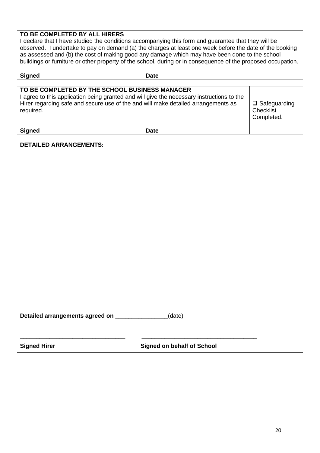## **TO BE COMPLETED BY ALL HIRERS**

**Signed** Date **Date** 

I declare that I have studied the conditions accompanying this form and guarantee that they will be observed. I undertake to pay on demand (a) the charges at least one week before the date of the booking as assessed and (b) the cost of making good any damage which may have been done to the school buildings or furniture or other property of the school, during or in consequence of the proposed occupation.

| TO BE COMPLETED BY THE SCHOOL BUSINESS MANAGER<br>I agree to this application being granted and will give the necessary instructions to the<br>Hirer regarding safe and secure use of the and will make detailed arrangements as<br>required. |      | $\Box$ Safeguarding<br>Checklist<br>Completed. |
|-----------------------------------------------------------------------------------------------------------------------------------------------------------------------------------------------------------------------------------------------|------|------------------------------------------------|
| <b>Signed</b>                                                                                                                                                                                                                                 | Date |                                                |

**DETAILED ARRANGEMENTS:**

**Detailed arrangements agreed on** \_\_\_\_\_\_\_\_\_\_\_\_\_\_\_\_(date)

\_\_\_\_\_\_\_\_\_\_\_\_\_\_\_\_\_\_\_\_\_\_\_\_\_\_\_\_\_\_\_\_\_\_\_\_\_\_\_\_\_\_\_\_\_\_\_\_\_\_\_\_\_\_\_\_\_\_\_\_\_\_\_\_\_\_\_

**Signed Hirer Signed on behalf of School**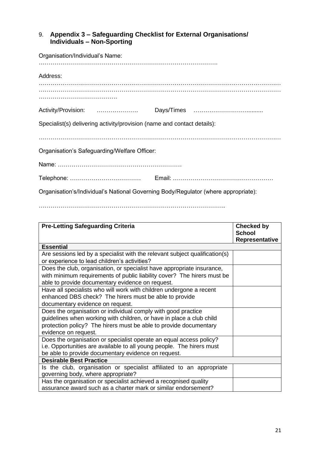## <span id="page-20-0"></span>9. **Appendix 3 – Safeguarding Checklist for External Organisations/ Individuals – Non-Sporting**

| Organisation/Individual's Name:                                                    |  |  |  |
|------------------------------------------------------------------------------------|--|--|--|
| Address:                                                                           |  |  |  |
|                                                                                    |  |  |  |
|                                                                                    |  |  |  |
| Specialist(s) delivering activity/provision (name and contact details):            |  |  |  |
|                                                                                    |  |  |  |
| Organisation's Safeguarding/Welfare Officer:                                       |  |  |  |
|                                                                                    |  |  |  |
|                                                                                    |  |  |  |
| Organisation's/Individual's National Governing Body/Regulator (where appropriate): |  |  |  |

…………………………………………………………………………………..

| <b>Pre-Letting Safeguarding Criteria</b>                                    | <b>Checked by</b> |
|-----------------------------------------------------------------------------|-------------------|
|                                                                             | <b>School</b>     |
| <b>Essential</b>                                                            | Representative    |
|                                                                             |                   |
| Are sessions led by a specialist with the relevant subject qualification(s) |                   |
| or experience to lead children's activities?                                |                   |
| Does the club, organisation, or specialist have appropriate insurance,      |                   |
| with minimum requirements of public liability cover? The hirers must be     |                   |
| able to provide documentary evidence on request.                            |                   |
| Have all specialists who will work with children undergone a recent         |                   |
| enhanced DBS check? The hirers must be able to provide                      |                   |
| documentary evidence on request.                                            |                   |
| Does the organisation or individual comply with good practice               |                   |
| guidelines when working with children, or have in place a club child        |                   |
| protection policy? The hirers must be able to provide documentary           |                   |
| evidence on request.                                                        |                   |
| Does the organisation or specialist operate an equal access policy?         |                   |
| i.e. Opportunities are available to all young people. The hirers must       |                   |
| be able to provide documentary evidence on request.                         |                   |
| <b>Desirable Best Practice</b>                                              |                   |
| Is the club, organisation or specialist affiliated to an appropriate        |                   |
| governing body, where appropriate?                                          |                   |
| Has the organisation or specialist achieved a recognised quality            |                   |
| assurance award such as a charter mark or similar endorsement?              |                   |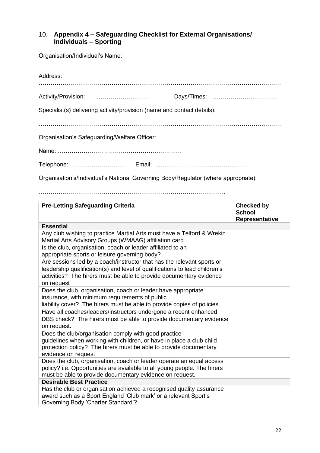## <span id="page-21-0"></span>10. **Appendix 4 – Safeguarding Checklist for External Organisations/ Individuals – Sporting**

| Organisation/Individual's Name:                                         |  |  |  |
|-------------------------------------------------------------------------|--|--|--|
| Address:                                                                |  |  |  |
|                                                                         |  |  |  |
| Specialist(s) delivering activity/provision (name and contact details): |  |  |  |
|                                                                         |  |  |  |
| Organisation's Safeguarding/Welfare Officer:                            |  |  |  |
|                                                                         |  |  |  |
|                                                                         |  |  |  |

Organisation's/Individual's National Governing Body/Regulator (where appropriate):

…………………………………………………………………………………..

| <b>Pre-Letting Safeguarding Criteria</b>                                                                                                                                                                                                  | <b>Checked by</b><br><b>School</b> |
|-------------------------------------------------------------------------------------------------------------------------------------------------------------------------------------------------------------------------------------------|------------------------------------|
|                                                                                                                                                                                                                                           | Representative                     |
| <b>Essential</b>                                                                                                                                                                                                                          |                                    |
| Any club wishing to practice Martial Arts must have a Telford & Wrekin<br>Martial Arts Advisory Groups (WMAAG) affiliation card                                                                                                           |                                    |
| Is the club, organisation, coach or leader affiliated to an                                                                                                                                                                               |                                    |
| appropriate sports or leisure governing body?                                                                                                                                                                                             |                                    |
| Are sessions led by a coach/instructor that has the relevant sports or<br>leadership qualification(s) and level of qualifications to lead children's<br>activities? The hirers must be able to provide documentary evidence<br>on request |                                    |
| Does the club, organisation, coach or leader have appropriate                                                                                                                                                                             |                                    |
| insurance, with minimum requirements of public                                                                                                                                                                                            |                                    |
| liability cover? The hirers must be able to provide copies of policies.                                                                                                                                                                   |                                    |
| Have all coaches/leaders/instructors undergone a recent enhanced                                                                                                                                                                          |                                    |
| DBS check? The hirers must be able to provide documentary evidence                                                                                                                                                                        |                                    |
| on request.                                                                                                                                                                                                                               |                                    |
| Does the club/organisation comply with good practice                                                                                                                                                                                      |                                    |
| guidelines when working with children, or have in place a club child                                                                                                                                                                      |                                    |
| protection policy? The hirers must be able to provide documentary                                                                                                                                                                         |                                    |
| evidence on request                                                                                                                                                                                                                       |                                    |
| Does the club, organisation, coach or leader operate an equal access                                                                                                                                                                      |                                    |
| policy? i.e. Opportunities are available to all young people. The hirers                                                                                                                                                                  |                                    |
| must be able to provide documentary evidence on request.                                                                                                                                                                                  |                                    |
| <b>Desirable Best Practice</b>                                                                                                                                                                                                            |                                    |
| Has the club or organisation achieved a recognised quality assurance                                                                                                                                                                      |                                    |
| award such as a Sport England 'Club mark' or a relevant Sport's                                                                                                                                                                           |                                    |
| Governing Body 'Charter Standard'?                                                                                                                                                                                                        |                                    |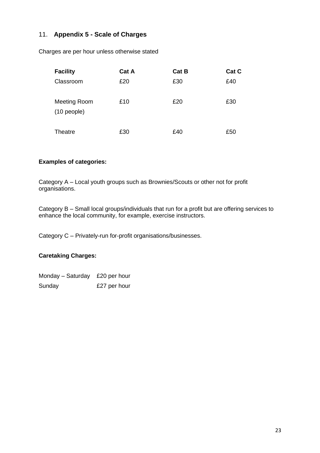## <span id="page-22-0"></span>11. **Appendix 5 - Scale of Charges**

Charges are per hour unless otherwise stated

| <b>Facility</b>                      | Cat A | <b>Cat B</b> | Cat C |
|--------------------------------------|-------|--------------|-------|
| Classroom                            | £20   | £30          | £40   |
| <b>Meeting Room</b><br>$(10$ people) | £10   | £20          | £30   |
| Theatre                              | £30   | £40          | £50   |

## **Examples of categories:**

Category A – Local youth groups such as Brownies/Scouts or other not for profit organisations.

Category B – Small local groups/individuals that run for a profit but are offering services to enhance the local community, for example, exercise instructors.

Category C – Privately-run for-profit organisations/businesses.

## **Caretaking Charges:**

Monday – Saturday £20 per hour Sunday £27 per hour